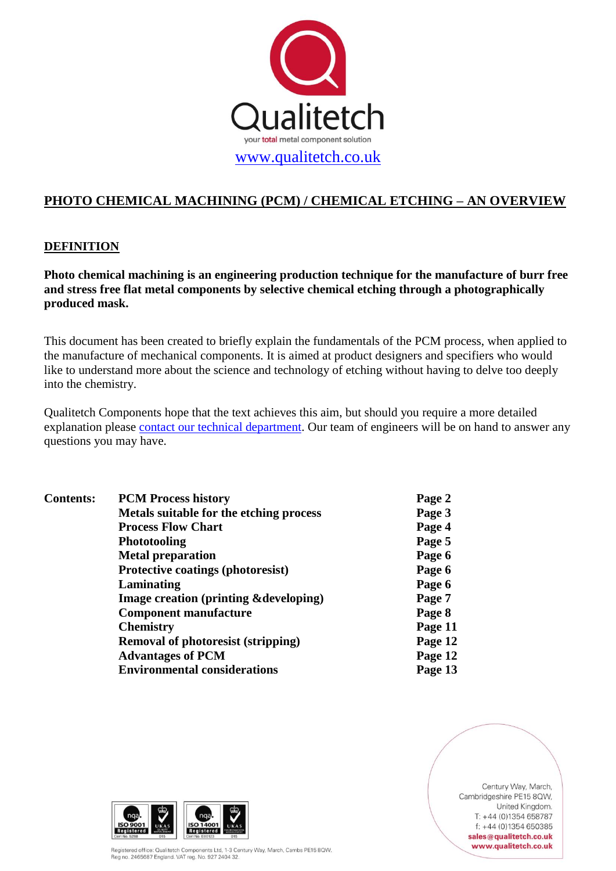

# **PHOTO CHEMICAL MACHINING (PCM) / CHEMICAL ETCHING – AN OVERVIEW**

## **DEFINITION**

**Photo chemical machining is an engineering production technique for the manufacture of burr free and stress free flat metal components by selective chemical etching through a photographically produced mask.**

This document has been created to briefly explain the fundamentals of the PCM process, when applied to the manufacture of mechanical components. It is aimed at product designers and specifiers who would like to understand more about the science and technology of etching without having to delve too deeply into the chemistry.

Qualitetch Components hope that the text achieves this aim, but should you require a more detailed explanation please [contact our technical department.](mailto:sales@qualitetch.co.uk?subject=Technical%20enquiry) Our team of engineers will be on hand to answer any questions you may have.

| <b>Contents:</b> | <b>PCM Process history</b>                       | Page 2  |
|------------------|--------------------------------------------------|---------|
|                  | Metals suitable for the etching process          | Page 3  |
|                  | <b>Process Flow Chart</b>                        | Page 4  |
|                  | <b>Phototooling</b>                              | Page 5  |
|                  | <b>Metal preparation</b>                         | Page 6  |
|                  | <b>Protective coatings (photoresist)</b>         | Page 6  |
|                  | Laminating                                       | Page 6  |
|                  | <b>Image creation (printing &amp;developing)</b> | Page 7  |
|                  | <b>Component manufacture</b>                     | Page 8  |
|                  | <b>Chemistry</b>                                 | Page 11 |
|                  | <b>Removal of photoresist (stripping)</b>        | Page 12 |
|                  | <b>Advantages of PCM</b>                         | Page 12 |
|                  | <b>Environmental considerations</b>              | Page 13 |
|                  |                                                  |         |



Registered office: Qualitetch Components Ltd, 1-3 Century Way, March, Cambs PE15 8QW. Registered office: Qualitetter components Etd, 1-5 Ce

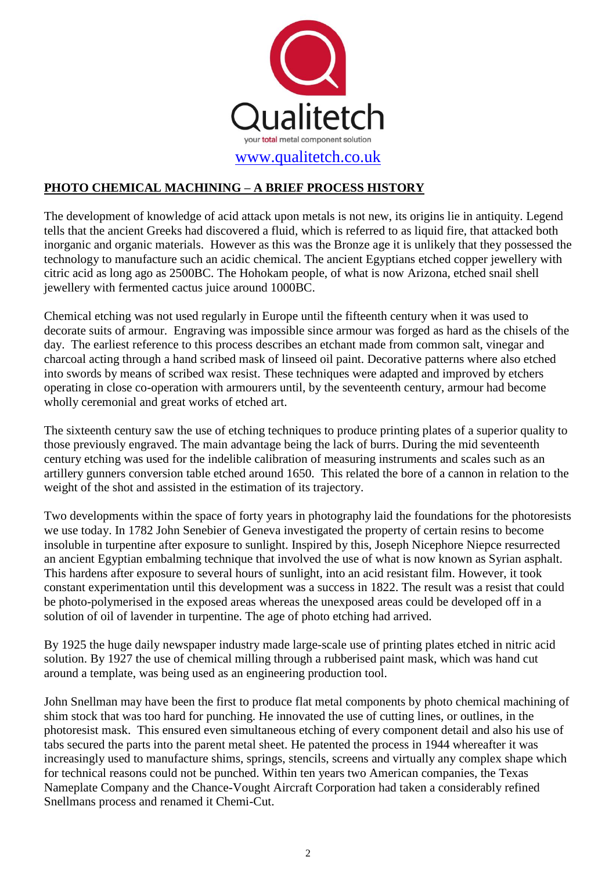

## **PHOTO CHEMICAL MACHINING – A BRIEF PROCESS HISTORY**

The development of knowledge of acid attack upon metals is not new, its origins lie in antiquity. Legend tells that the ancient Greeks had discovered a fluid, which is referred to as liquid fire, that attacked both inorganic and organic materials. However as this was the Bronze age it is unlikely that they possessed the technology to manufacture such an acidic chemical. The ancient Egyptians etched copper jewellery with citric acid as long ago as 2500BC. The Hohokam people, of what is now Arizona, etched snail shell jewellery with fermented cactus juice around 1000BC.

Chemical etching was not used regularly in Europe until the fifteenth century when it was used to decorate suits of armour. Engraving was impossible since armour was forged as hard as the chisels of the day. The earliest reference to this process describes an etchant made from common salt, vinegar and charcoal acting through a hand scribed mask of linseed oil paint. Decorative patterns where also etched into swords by means of scribed wax resist. These techniques were adapted and improved by etchers operating in close co-operation with armourers until, by the seventeenth century, armour had become wholly ceremonial and great works of etched art.

The sixteenth century saw the use of etching techniques to produce printing plates of a superior quality to those previously engraved. The main advantage being the lack of burrs. During the mid seventeenth century etching was used for the indelible calibration of measuring instruments and scales such as an artillery gunners conversion table etched around 1650. This related the bore of a cannon in relation to the weight of the shot and assisted in the estimation of its trajectory.

Two developments within the space of forty years in photography laid the foundations for the photoresists we use today. In 1782 John Senebier of Geneva investigated the property of certain resins to become insoluble in turpentine after exposure to sunlight. Inspired by this, Joseph Nicephore Niepce resurrected an ancient Egyptian embalming technique that involved the use of what is now known as Syrian asphalt. This hardens after exposure to several hours of sunlight, into an acid resistant film. However, it took constant experimentation until this development was a success in 1822. The result was a resist that could be photo-polymerised in the exposed areas whereas the unexposed areas could be developed off in a solution of oil of lavender in turpentine. The age of photo etching had arrived.

By 1925 the huge daily newspaper industry made large-scale use of printing plates etched in nitric acid solution. By 1927 the use of chemical milling through a rubberised paint mask, which was hand cut around a template, was being used as an engineering production tool.

John Snellman may have been the first to produce flat metal components by photo chemical machining of shim stock that was too hard for punching. He innovated the use of cutting lines, or outlines, in the photoresist mask. This ensured even simultaneous etching of every component detail and also his use of tabs secured the parts into the parent metal sheet. He patented the process in 1944 whereafter it was increasingly used to manufacture shims, springs, stencils, screens and virtually any complex shape which for technical reasons could not be punched. Within ten years two American companies, the Texas Nameplate Company and the Chance-Vought Aircraft Corporation had taken a considerably refined Snellmans process and renamed it Chemi-Cut.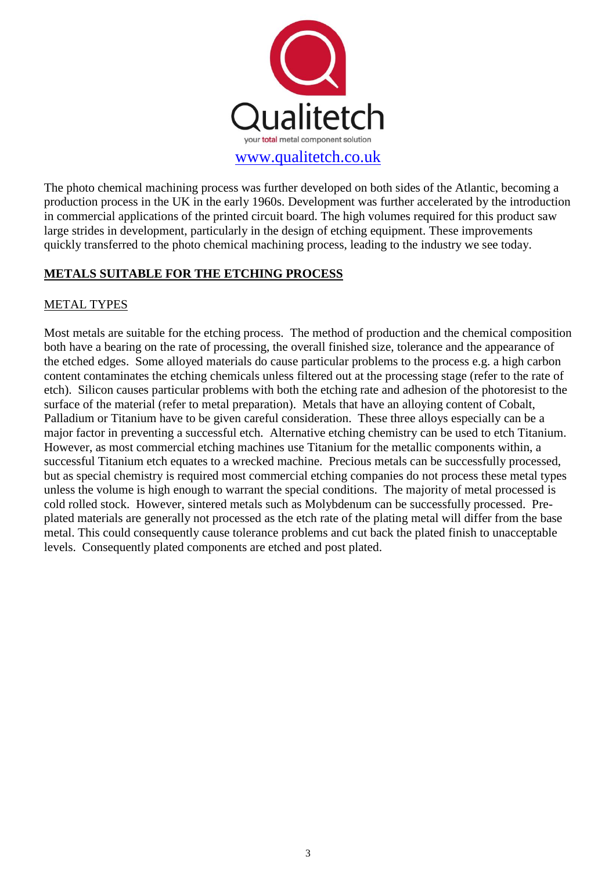

The photo chemical machining process was further developed on both sides of the Atlantic, becoming a production process in the UK in the early 1960s. Development was further accelerated by the introduction in commercial applications of the printed circuit board. The high volumes required for this product saw large strides in development, particularly in the design of etching equipment. These improvements quickly transferred to the photo chemical machining process, leading to the industry we see today.

## **METALS SUITABLE FOR THE ETCHING PROCESS**

## METAL TYPES

Most metals are suitable for the etching process. The method of production and the chemical composition both have a bearing on the rate of processing, the overall finished size, tolerance and the appearance of the etched edges. Some alloyed materials do cause particular problems to the process e.g. a high carbon content contaminates the etching chemicals unless filtered out at the processing stage (refer to the rate of etch). Silicon causes particular problems with both the etching rate and adhesion of the photoresist to the surface of the material (refer to metal preparation). Metals that have an alloying content of Cobalt, Palladium or Titanium have to be given careful consideration. These three alloys especially can be a major factor in preventing a successful etch. Alternative etching chemistry can be used to etch Titanium. However, as most commercial etching machines use Titanium for the metallic components within, a successful Titanium etch equates to a wrecked machine. Precious metals can be successfully processed, but as special chemistry is required most commercial etching companies do not process these metal types unless the volume is high enough to warrant the special conditions. The majority of metal processed is cold rolled stock. However, sintered metals such as Molybdenum can be successfully processed. Preplated materials are generally not processed as the etch rate of the plating metal will differ from the base metal. This could consequently cause tolerance problems and cut back the plated finish to unacceptable levels. Consequently plated components are etched and post plated.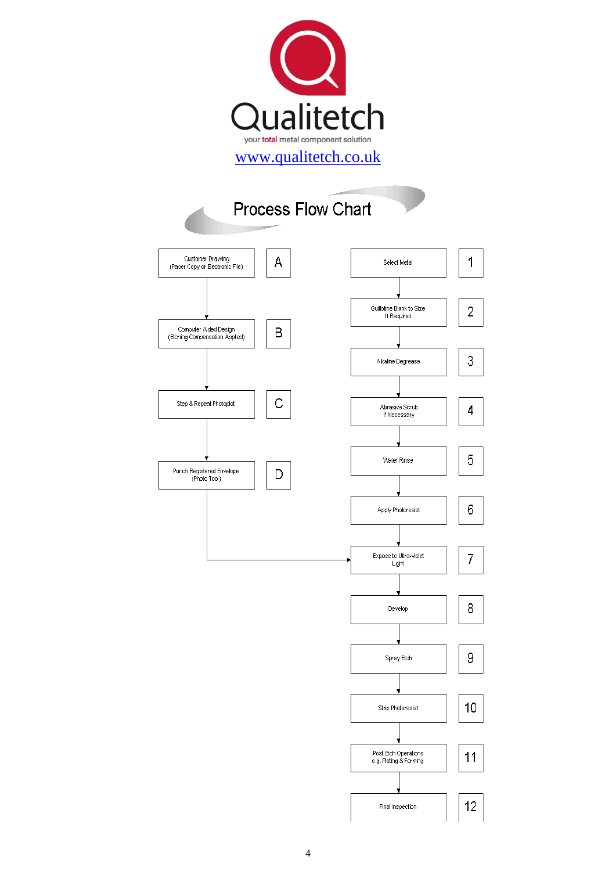

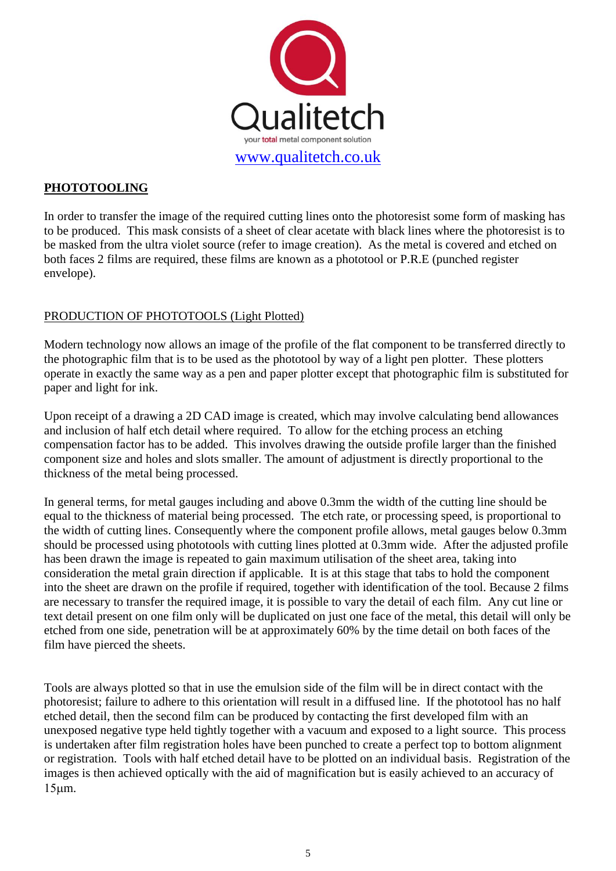

## **PHOTOTOOLING**

In order to transfer the image of the required cutting lines onto the photoresist some form of masking has to be produced. This mask consists of a sheet of clear acetate with black lines where the photoresist is to be masked from the ultra violet source (refer to image creation). As the metal is covered and etched on both faces 2 films are required, these films are known as a phototool or P.R.E (punched register envelope).

## PRODUCTION OF PHOTOTOOLS (Light Plotted)

Modern technology now allows an image of the profile of the flat component to be transferred directly to the photographic film that is to be used as the phototool by way of a light pen plotter. These plotters operate in exactly the same way as a pen and paper plotter except that photographic film is substituted for paper and light for ink.

Upon receipt of a drawing a 2D CAD image is created, which may involve calculating bend allowances and inclusion of half etch detail where required. To allow for the etching process an etching compensation factor has to be added. This involves drawing the outside profile larger than the finished component size and holes and slots smaller. The amount of adjustment is directly proportional to the thickness of the metal being processed.

In general terms, for metal gauges including and above 0.3mm the width of the cutting line should be equal to the thickness of material being processed. The etch rate, or processing speed, is proportional to the width of cutting lines. Consequently where the component profile allows, metal gauges below 0.3mm should be processed using phototools with cutting lines plotted at 0.3mm wide. After the adjusted profile has been drawn the image is repeated to gain maximum utilisation of the sheet area, taking into consideration the metal grain direction if applicable. It is at this stage that tabs to hold the component into the sheet are drawn on the profile if required, together with identification of the tool. Because 2 films are necessary to transfer the required image, it is possible to vary the detail of each film. Any cut line or text detail present on one film only will be duplicated on just one face of the metal, this detail will only be etched from one side, penetration will be at approximately 60% by the time detail on both faces of the film have pierced the sheets.

Tools are always plotted so that in use the emulsion side of the film will be in direct contact with the photoresist; failure to adhere to this orientation will result in a diffused line. If the phototool has no half etched detail, then the second film can be produced by contacting the first developed film with an unexposed negative type held tightly together with a vacuum and exposed to a light source. This process is undertaken after film registration holes have been punched to create a perfect top to bottom alignment or registration. Tools with half etched detail have to be plotted on an individual basis. Registration of the images is then achieved optically with the aid of magnification but is easily achieved to an accuracy of  $15 \mu m$ .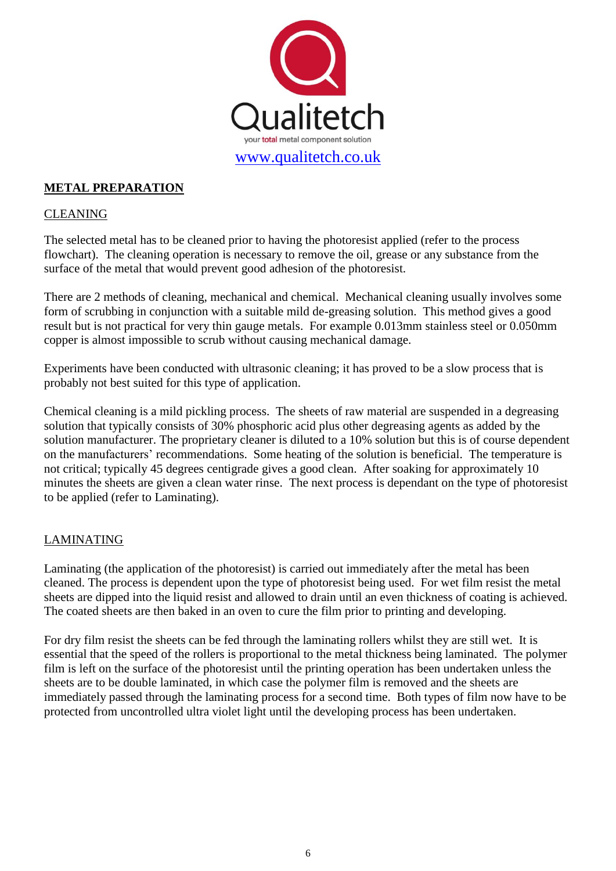

## **METAL PREPARATION**

#### CLEANING

The selected metal has to be cleaned prior to having the photoresist applied (refer to the process flowchart). The cleaning operation is necessary to remove the oil, grease or any substance from the surface of the metal that would prevent good adhesion of the photoresist.

There are 2 methods of cleaning, mechanical and chemical. Mechanical cleaning usually involves some form of scrubbing in conjunction with a suitable mild de-greasing solution. This method gives a good result but is not practical for very thin gauge metals. For example 0.013mm stainless steel or 0.050mm copper is almost impossible to scrub without causing mechanical damage.

Experiments have been conducted with ultrasonic cleaning; it has proved to be a slow process that is probably not best suited for this type of application.

Chemical cleaning is a mild pickling process. The sheets of raw material are suspended in a degreasing solution that typically consists of 30% phosphoric acid plus other degreasing agents as added by the solution manufacturer. The proprietary cleaner is diluted to a 10% solution but this is of course dependent on the manufacturers' recommendations. Some heating of the solution is beneficial. The temperature is not critical; typically 45 degrees centigrade gives a good clean. After soaking for approximately 10 minutes the sheets are given a clean water rinse. The next process is dependant on the type of photoresist to be applied (refer to Laminating).

## LAMINATING

Laminating (the application of the photoresist) is carried out immediately after the metal has been cleaned. The process is dependent upon the type of photoresist being used. For wet film resist the metal sheets are dipped into the liquid resist and allowed to drain until an even thickness of coating is achieved. The coated sheets are then baked in an oven to cure the film prior to printing and developing.

For dry film resist the sheets can be fed through the laminating rollers whilst they are still wet. It is essential that the speed of the rollers is proportional to the metal thickness being laminated. The polymer film is left on the surface of the photoresist until the printing operation has been undertaken unless the sheets are to be double laminated, in which case the polymer film is removed and the sheets are immediately passed through the laminating process for a second time. Both types of film now have to be protected from uncontrolled ultra violet light until the developing process has been undertaken.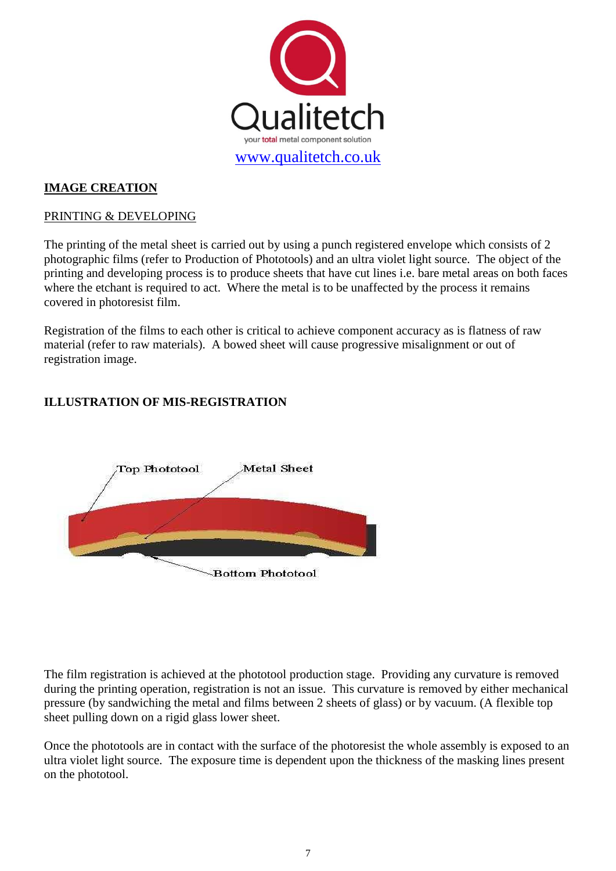

## **IMAGE CREATION**

#### PRINTING & DEVELOPING

The printing of the metal sheet is carried out by using a punch registered envelope which consists of 2 photographic films (refer to Production of Phototools) and an ultra violet light source. The object of the printing and developing process is to produce sheets that have cut lines i.e. bare metal areas on both faces where the etchant is required to act. Where the metal is to be unaffected by the process it remains covered in photoresist film.

Registration of the films to each other is critical to achieve component accuracy as is flatness of raw material (refer to raw materials). A bowed sheet will cause progressive misalignment or out of registration image.

## **ILLUSTRATION OF MIS-REGISTRATION**



The film registration is achieved at the phototool production stage. Providing any curvature is removed during the printing operation, registration is not an issue. This curvature is removed by either mechanical pressure (by sandwiching the metal and films between 2 sheets of glass) or by vacuum. (A flexible top sheet pulling down on a rigid glass lower sheet.

Once the phototools are in contact with the surface of the photoresist the whole assembly is exposed to an ultra violet light source. The exposure time is dependent upon the thickness of the masking lines present on the phototool.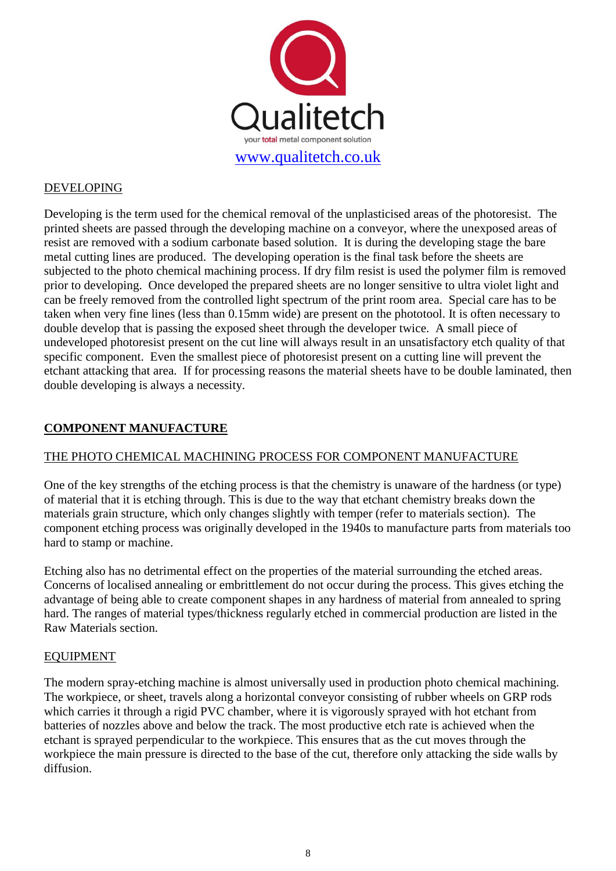

## DEVELOPING

Developing is the term used for the chemical removal of the unplasticised areas of the photoresist. The printed sheets are passed through the developing machine on a conveyor, where the unexposed areas of resist are removed with a sodium carbonate based solution. It is during the developing stage the bare metal cutting lines are produced. The developing operation is the final task before the sheets are subjected to the photo chemical machining process. If dry film resist is used the polymer film is removed prior to developing. Once developed the prepared sheets are no longer sensitive to ultra violet light and can be freely removed from the controlled light spectrum of the print room area. Special care has to be taken when very fine lines (less than 0.15mm wide) are present on the phototool. It is often necessary to double develop that is passing the exposed sheet through the developer twice. A small piece of undeveloped photoresist present on the cut line will always result in an unsatisfactory etch quality of that specific component. Even the smallest piece of photoresist present on a cutting line will prevent the etchant attacking that area. If for processing reasons the material sheets have to be double laminated, then double developing is always a necessity.

#### **COMPONENT MANUFACTURE**

## THE PHOTO CHEMICAL MACHINING PROCESS FOR COMPONENT MANUFACTURE

One of the key strengths of the etching process is that the chemistry is unaware of the hardness (or type) of material that it is etching through. This is due to the way that etchant chemistry breaks down the materials grain structure, which only changes slightly with temper (refer to materials section). The component etching process was originally developed in the 1940s to manufacture parts from materials too hard to stamp or machine.

Etching also has no detrimental effect on the properties of the material surrounding the etched areas. Concerns of localised annealing or embrittlement do not occur during the process. This gives etching the advantage of being able to create component shapes in any hardness of material from annealed to spring hard. The ranges of material types/thickness regularly etched in commercial production are listed in the Raw Materials section.

#### EQUIPMENT

The modern spray-etching machine is almost universally used in production photo chemical machining. The workpiece, or sheet, travels along a horizontal conveyor consisting of rubber wheels on GRP rods which carries it through a rigid PVC chamber, where it is vigorously sprayed with hot etchant from batteries of nozzles above and below the track. The most productive etch rate is achieved when the etchant is sprayed perpendicular to the workpiece. This ensures that as the cut moves through the workpiece the main pressure is directed to the base of the cut, therefore only attacking the side walls by diffusion.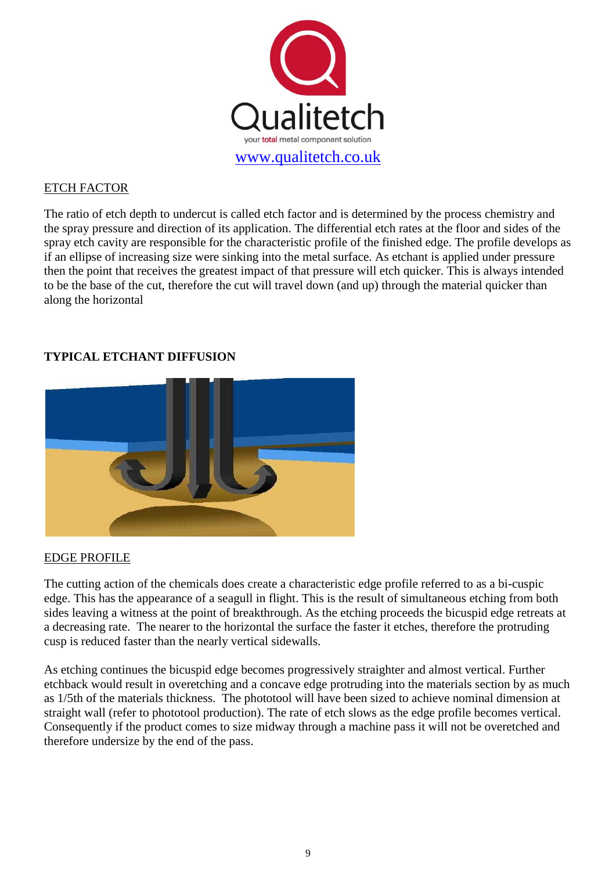

## ETCH FACTOR

The ratio of etch depth to undercut is called etch factor and is determined by the process chemistry and the spray pressure and direction of its application. The differential etch rates at the floor and sides of the spray etch cavity are responsible for the characteristic profile of the finished edge. The profile develops as if an ellipse of increasing size were sinking into the metal surface. As etchant is applied under pressure then the point that receives the greatest impact of that pressure will etch quicker. This is always intended to be the base of the cut, therefore the cut will travel down (and up) through the material quicker than along the horizontal

# **TYPICAL ETCHANT DIFFUSION**



## EDGE PROFILE

The cutting action of the chemicals does create a characteristic edge profile referred to as a bi-cuspic edge. This has the appearance of a seagull in flight. This is the result of simultaneous etching from both sides leaving a witness at the point of breakthrough. As the etching proceeds the bicuspid edge retreats at a decreasing rate. The nearer to the horizontal the surface the faster it etches, therefore the protruding cusp is reduced faster than the nearly vertical sidewalls.

As etching continues the bicuspid edge becomes progressively straighter and almost vertical. Further etchback would result in overetching and a concave edge protruding into the materials section by as much as 1/5th of the materials thickness. The phototool will have been sized to achieve nominal dimension at straight wall (refer to phototool production). The rate of etch slows as the edge profile becomes vertical. Consequently if the product comes to size midway through a machine pass it will not be overetched and therefore undersize by the end of the pass.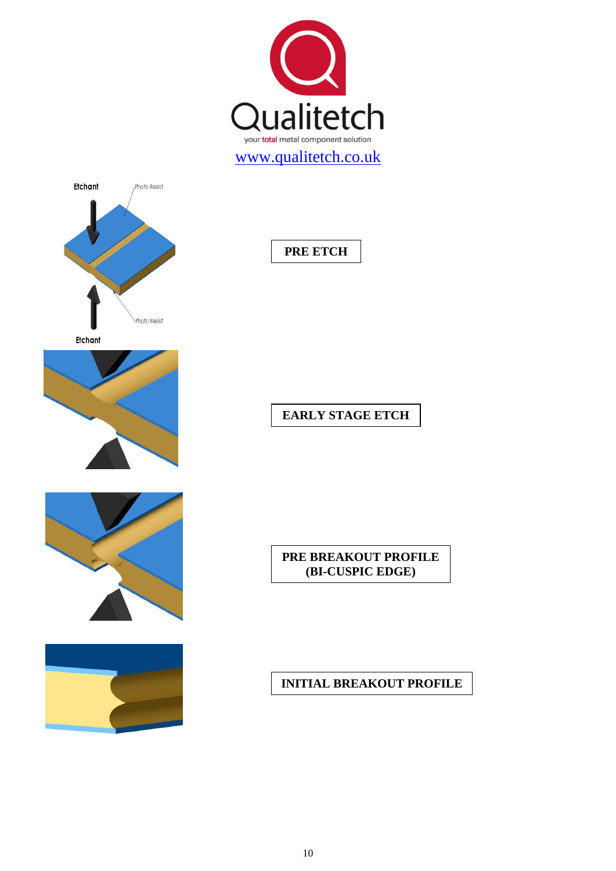

**PRE ETCH**



Etchant



# **EARLY STAGE ETCH**





## **PRE BREAKOUT PROFILE (BI-CUSPIC EDGE)**

# **INITIAL BREAKOUT PROFILE**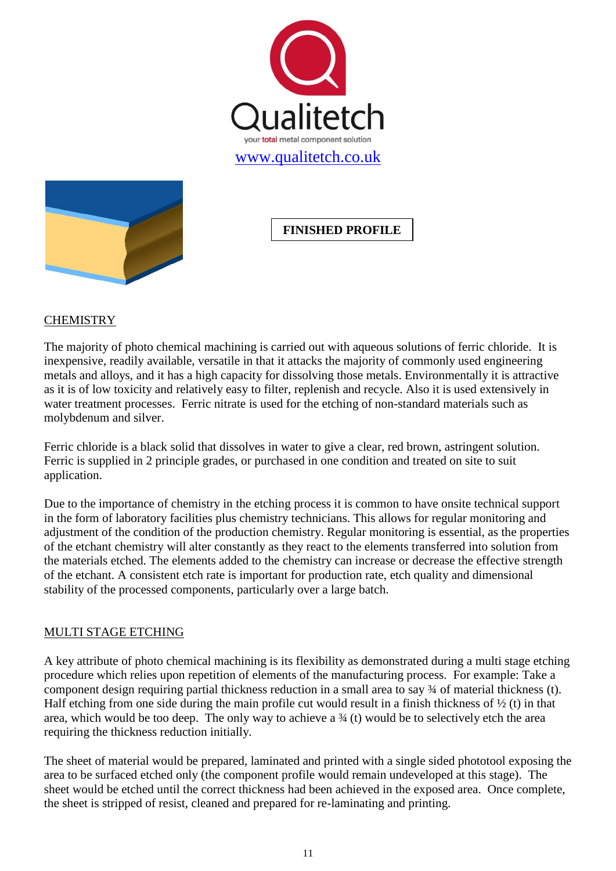



# **FINISHED PROFILE**

## **CHEMISTRY**

The majority of photo chemical machining is carried out with aqueous solutions of ferric chloride. It is inexpensive, readily available, versatile in that it attacks the majority of commonly used engineering metals and alloys, and it has a high capacity for dissolving those metals. Environmentally it is attractive as it is of low toxicity and relatively easy to filter, replenish and recycle. Also it is used extensively in water treatment processes. Ferric nitrate is used for the etching of non-standard materials such as molybdenum and silver.

Ferric chloride is a black solid that dissolves in water to give a clear, red brown, astringent solution. Ferric is supplied in 2 principle grades, or purchased in one condition and treated on site to suit application.

Due to the importance of chemistry in the etching process it is common to have onsite technical support in the form of laboratory facilities plus chemistry technicians. This allows for regular monitoring and adjustment of the condition of the production chemistry. Regular monitoring is essential, as the properties of the etchant chemistry will alter constantly as they react to the elements transferred into solution from the materials etched. The elements added to the chemistry can increase or decrease the effective strength of the etchant. A consistent etch rate is important for production rate, etch quality and dimensional stability of the processed components, particularly over a large batch.

## MULTI STAGE ETCHING

A key attribute of photo chemical machining is its flexibility as demonstrated during a multi stage etching procedure which relies upon repetition of elements of the manufacturing process. For example: Take a component design requiring partial thickness reduction in a small area to say ¾ of material thickness (t). Half etching from one side during the main profile cut would result in a finish thickness of  $\frac{1}{2}$  (t) in that area, which would be too deep. The only way to achieve a  $\frac{3}{4}$  (t) would be to selectively etch the area requiring the thickness reduction initially.

The sheet of material would be prepared, laminated and printed with a single sided phototool exposing the area to be surfaced etched only (the component profile would remain undeveloped at this stage). The sheet would be etched until the correct thickness had been achieved in the exposed area. Once complete, the sheet is stripped of resist, cleaned and prepared for re-laminating and printing.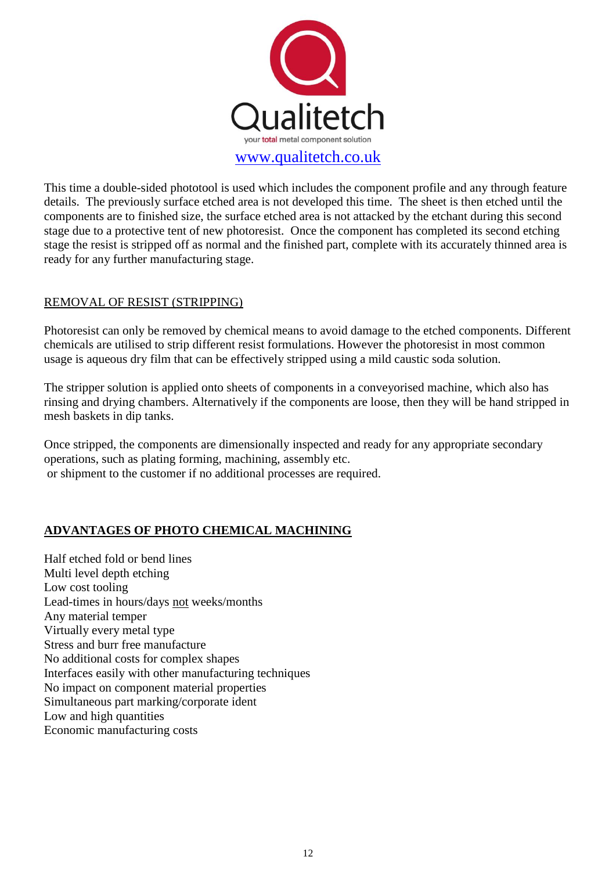

This time a double-sided phototool is used which includes the component profile and any through feature details. The previously surface etched area is not developed this time. The sheet is then etched until the components are to finished size, the surface etched area is not attacked by the etchant during this second stage due to a protective tent of new photoresist. Once the component has completed its second etching stage the resist is stripped off as normal and the finished part, complete with its accurately thinned area is ready for any further manufacturing stage.

## REMOVAL OF RESIST (STRIPPING)

Photoresist can only be removed by chemical means to avoid damage to the etched components. Different chemicals are utilised to strip different resist formulations. However the photoresist in most common usage is aqueous dry film that can be effectively stripped using a mild caustic soda solution.

The stripper solution is applied onto sheets of components in a conveyorised machine, which also has rinsing and drying chambers. Alternatively if the components are loose, then they will be hand stripped in mesh baskets in dip tanks.

Once stripped, the components are dimensionally inspected and ready for any appropriate secondary operations, such as plating forming, machining, assembly etc. or shipment to the customer if no additional processes are required.

## **ADVANTAGES OF PHOTO CHEMICAL MACHINING**

Half etched fold or bend lines Multi level depth etching Low cost tooling Lead-times in hours/days not weeks/months Any material temper Virtually every metal type Stress and burr free manufacture No additional costs for complex shapes Interfaces easily with other manufacturing techniques No impact on component material properties Simultaneous part marking/corporate ident Low and high quantities Economic manufacturing costs